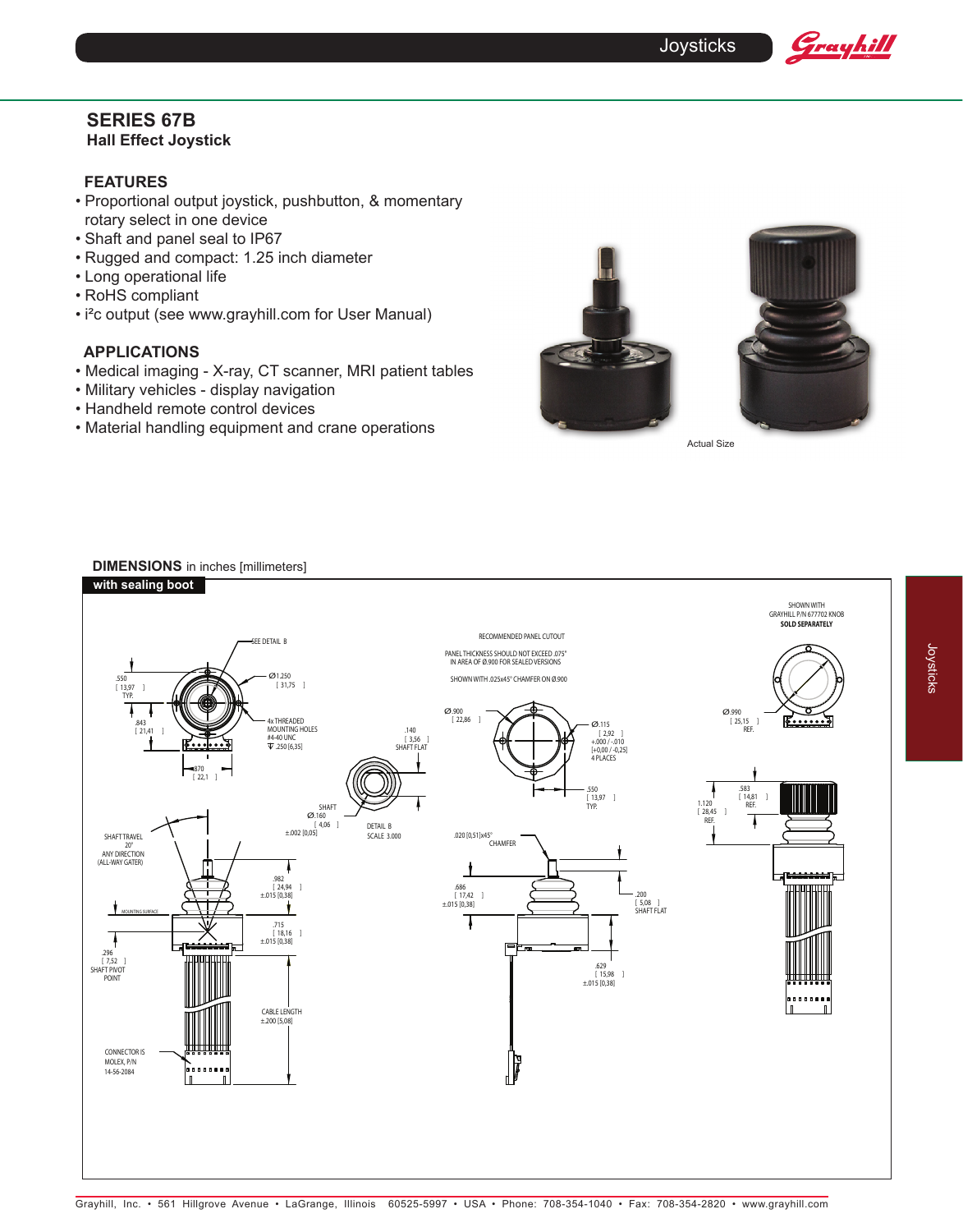

# **SERIES 67B Hall Effect Joystick**

# **FEATURES**

- Proportional output joystick, pushbutton, & momentary rotary select in one device
- Shaft and panel seal to IP67
- Rugged and compact: 1.25 inch diameter
- Long operational life
- RoHS compliant
- i²c output (see www.grayhill.com for User Manual)

# **APPLICATIONS**

- Medical imaging X-ray, CT scanner, MRI patient tables
- Military vehicles display navigation
- Handheld remote control devices
- Material handling equipment and crane operations



Actual Size

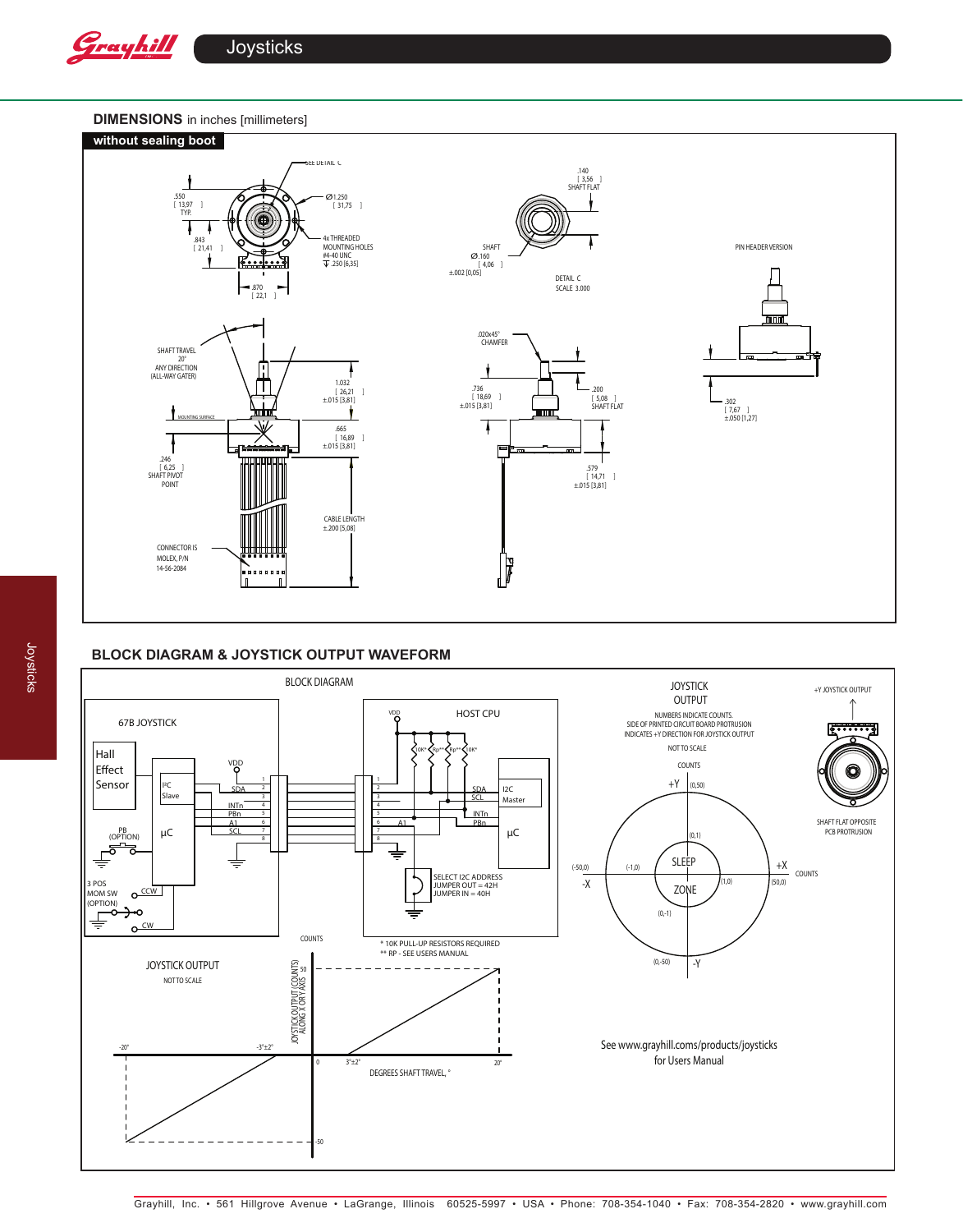

**Joysticks** 

## **DIMENSIONS** in inches [millimeters]



# **BLOCK DIAGRAM & JOYSTICK OUTPUT WAVEFORM**

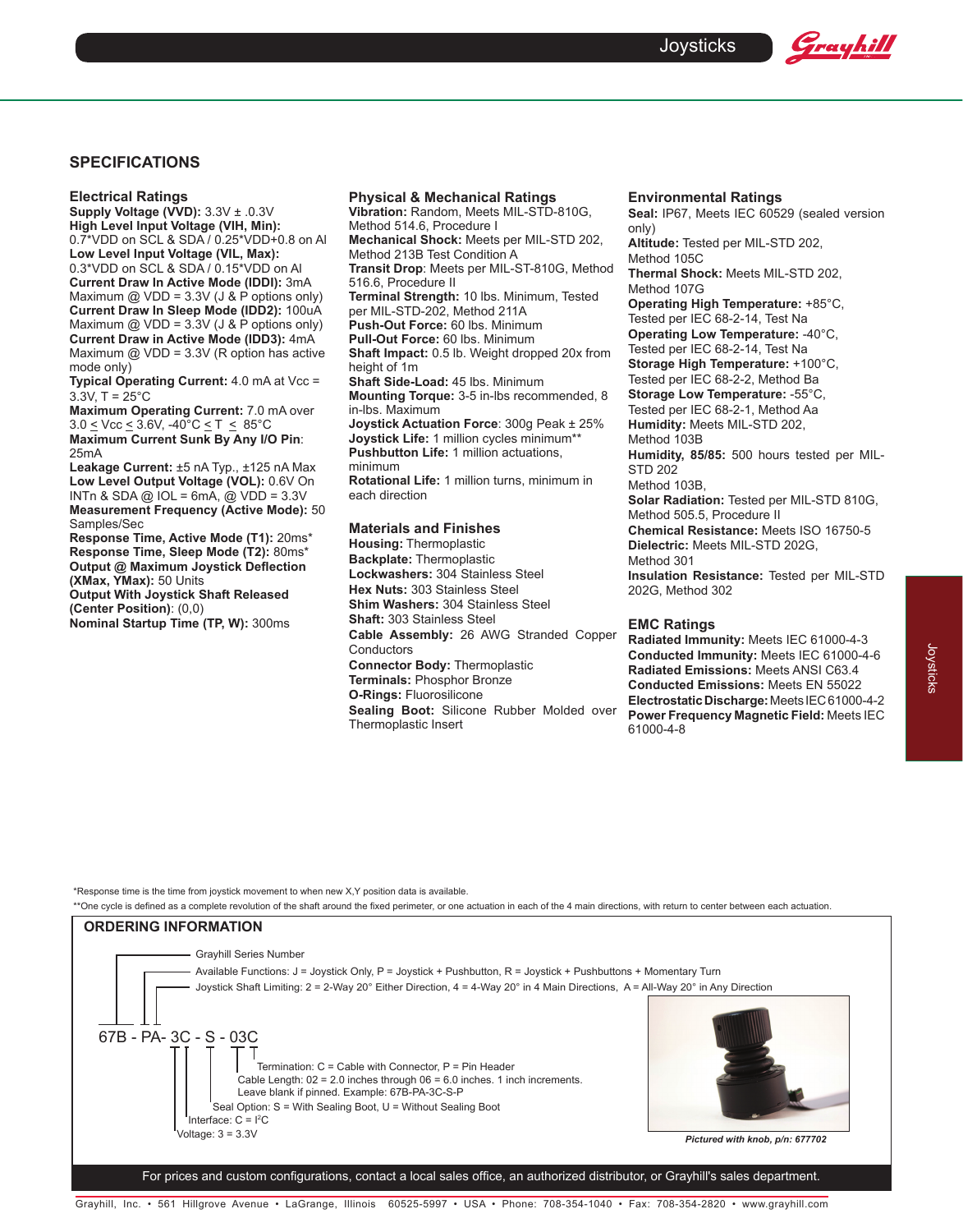## **SPECIFICATIONS**

**Electrical Ratings**

**Supply Voltage (VVD):** 3.3V ± .0.3V **High Level Input Voltage (VIH, Min):** 0.7\*VDD on SCL & SDA / 0.25\*VDD+0.8 on Al **Low Level Input Voltage (VIL, Max):** 0.3\*VDD on SCL & SDA / 0.15\*VDD on Al **Current Draw In Active Mode (IDDI):** 3mA Maximum  $@$  VDD = 3.3V (J & P options only) **Current Draw In Sleep Mode (IDD2):** 100uA Maximum  $@$  VDD = 3.3V (J & P options only) **Current Draw in Active Mode (IDD3):** 4mA Maximum  $@$  VDD = 3.3V (R option has active mode only)

**Typical Operating Current: 4.0 mA at Vcc =**  $3.3V, T = 25^{\circ}C$ 

**Maximum Operating Current:** 7.0 mA over  $3.0 \leq$  Vcc  $\leq$  3.6V,  $-40^{\circ}$ C  $\leq$  T  $\leq$  85°C **Maximum Current Sunk By Any I/O Pin**: 25mA

**Leakage Current:** ±5 nA Typ., ±125 nA Max **Low Level Output Voltage (VOL):** 0.6V On INTn & SDA  $@$  IOL = 6mA,  $@$  VDD = 3.3V **Measurement Frequency (Active Mode):** 50 Samples/Sec

**Response Time, Active Mode (T1):** 20ms\* **Response Time, Sleep Mode (T2):** 80ms\* **Output @ Maximum Joystick Deflection (XMax, YMax):** 50 Units **Output With Joystick Shaft Released** 

**(Center Position)**: (0,0) **Nominal Startup Time (TP, W):** 300ms

# **Physical & Mechanical Ratings**

**Vibration:** Random, Meets MIL-STD-810G, Method 514.6, Procedure I **Mechanical Shock:** Meets per MIL-STD 202, Method 213B Test Condition A **Transit Drop**: Meets per MIL-ST-810G, Method 516.6, Procedure II **Terminal Strength:** 10 lbs. Minimum, Tested per MIL-STD-202, Method 211A **Push-Out Force:** 60 lbs. Minimum **Pull-Out Force:** 60 lbs. Minimum **Shaft Impact:** 0.5 lb. Weight dropped 20x from height of 1m **Shaft Side-Load:** 45 lbs. Minimum **Mounting Torque:** 3-5 in-lbs recommended, 8 in-lbs. Maximum **Joystick Actuation Force**: 300g Peak ± 25% **Joystick Life:** 1 million cycles minimum\*\* **Pushbutton Life:** 1 million actuations, minimum **Rotational Life:** 1 million turns, minimum in each direction

#### **Materials and Finishes**

**Housing:** Thermoplastic **Backplate:** Thermoplastic **Lockwashers:** 304 Stainless Steel **Hex Nuts:** 303 Stainless Steel **Shim Washers:** 304 Stainless Steel **Shaft:** 303 Stainless Steel **Cable Assembly:** 26 AWG Stranded Copper **Conductors Connector Body:** Thermoplastic **Terminals:** Phosphor Bronze **O-Rings:** Fluorosilicone **Sealing Boot:** Silicone Rubber Molded over Thermoplastic Insert

#### **Environmental Ratings**

**Seal:** IP67, Meets IEC 60529 (sealed version only)

Grayhill

**Altitude:** Tested per MIL-STD 202, Method 105C

**Thermal Shock:** Meets MIL-STD 202, Method 107G

**Operating High Temperature:** +85°C, Tested per IEC 68-2-14, Test Na

**Operating Low Temperature:** -40°C,

Tested per IEC 68-2-14, Test Na

**Storage High Temperature:** +100°C, Tested per IEC 68-2-2, Method Ba

**Storage Low Temperature:** -55°C,

Tested per IEC 68-2-1, Method Aa

**Humidity:** Meets MIL-STD 202,

Method 103B

**Humidity, 85/85:** 500 hours tested per MIL-STD 202

Method 103B,

**Solar Radiation:** Tested per MIL-STD 810G, Method 505.5, Procedure II

**Chemical Resistance:** Meets ISO 16750-5 **Dielectric:** Meets MIL-STD 202G,

Method 301

**Insulation Resistance:** Tested per MIL-STD 202G, Method 302

### **EMC Ratings**

**Radiated Immunity:** Meets IEC 61000-4-3 **Conducted Immunity:** Meets IEC 61000-4-6 **Radiated Emissions:** Meets ANSI C63.4 **Conducted Emissions:** Meets EN 55022 **Electrostatic Discharge:** Meets IEC 61000-4-2 **Power Frequency Magnetic Field:** Meets IEC 61000-4-8

\*Response time is the time from joystick movement to when new X,Y position data is available.

\*\*One cycle is defined as a complete revolution of the shaft around the fixed perimeter, or one actuation in each of the 4 main directions, with return to center between each actuation.



For prices and custom configurations, contact a local sales office, an authorized distributor, or Grayhill's sales department.